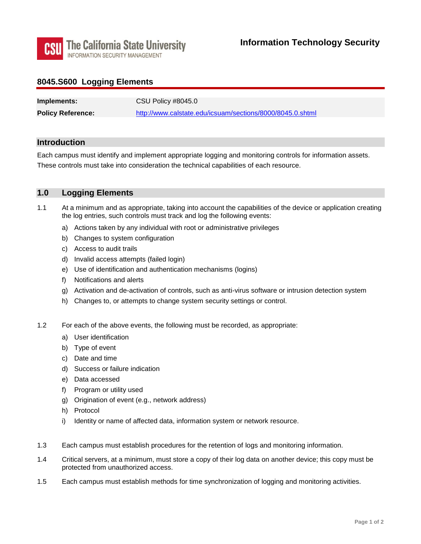

## **8045.S600 Logging Elements**

| Implements:              | CSU Policy #8045.0                                        |
|--------------------------|-----------------------------------------------------------|
| <b>Policy Reference:</b> | http://www.calstate.edu/icsuam/sections/8000/8045.0.shtml |

#### **Introduction**

Each campus must identify and implement appropriate logging and monitoring controls for information assets. These controls must take into consideration the technical capabilities of each resource.

### **1.0 Logging Elements**

- 1.1 At a minimum and as appropriate, taking into account the capabilities of the device or application creating the log entries, such controls must track and log the following events:
	- a) Actions taken by any individual with root or administrative privileges
	- b) Changes to system configuration
	- c) Access to audit trails
	- d) Invalid access attempts (failed login)
	- e) Use of identification and authentication mechanisms (logins)
	- f) Notifications and alerts
	- g) Activation and de-activation of controls, such as anti-virus software or intrusion detection system
	- h) Changes to, or attempts to change system security settings or control.
- 1.2 For each of the above events, the following must be recorded, as appropriate:
	- a) User identification
	- b) Type of event
	- c) Date and time
	- d) Success or failure indication
	- e) Data accessed
	- f) Program or utility used
	- g) Origination of event (e.g., network address)
	- h) Protocol
	- i) Identity or name of affected data, information system or network resource.
- 1.3 Each campus must establish procedures for the retention of logs and monitoring information.
- 1.4 Critical servers, at a minimum, must store a copy of their log data on another device; this copy must be protected from unauthorized access.
- 1.5 Each campus must establish methods for time synchronization of logging and monitoring activities.